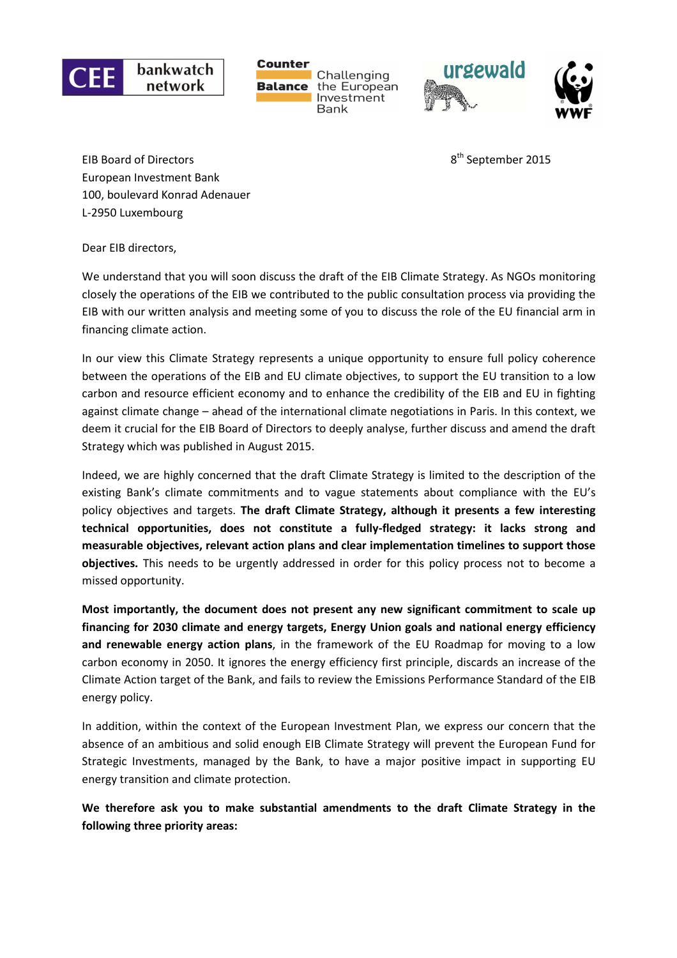

**Counter** Challenging the European **Balance** Investment **Bank** 



EIB Board of Directors and Subsetsman properties and Subsetsman properties of  $8<sup>th</sup>$  September 2015 European Investment Bank 100, boulevard Konrad Adenauer L-2950 Luxembourg

Dear EIB directors,

We understand that you will soon discuss the draft of the EIB Climate Strategy. As NGOs monitoring closely the operations of the EIB we contributed to the public consultation process via providing the EIB with our written analysis and meeting some of you to discuss the role of the EU financial arm in financing climate action.

In our view this Climate Strategy represents a unique opportunity to ensure full policy coherence between the operations of the EIB and EU climate objectives, to support the EU transition to a low carbon and resource efficient economy and to enhance the credibility of the EIB and EU in fighting against climate change – ahead of the international climate negotiations in Paris. In this context, we deem it crucial for the EIB Board of Directors to deeply analyse, further discuss and amend the draft Strategy which was published in August 2015.

Indeed, we are highly concerned that the draft Climate Strategy is limited to the description of the existing Bank's climate commitments and to vague statements about compliance with the EU's policy objectives and targets. **The draft Climate Strategy, although it presents a few interesting technical opportunities, does not constitute a fully-fledged strategy: it lacks strong and measurable objectives, relevant action plans and clear implementation timelines to support those objectives.** This needs to be urgently addressed in order for this policy process not to become a missed opportunity.

**Most importantly, the document does not present any new significant commitment to scale up financing for 2030 climate and energy targets, Energy Union goals and national energy efficiency and renewable energy action plans**, in the framework of the EU Roadmap for moving to a low carbon economy in 2050. It ignores the energy efficiency first principle, discards an increase of the Climate Action target of the Bank, and fails to review the Emissions Performance Standard of the EIB energy policy.

In addition, within the context of the European Investment Plan, we express our concern that the absence of an ambitious and solid enough EIB Climate Strategy will prevent the European Fund for Strategic Investments, managed by the Bank, to have a major positive impact in supporting EU energy transition and climate protection.

**We therefore ask you to make substantial amendments to the draft Climate Strategy in the following three priority areas:**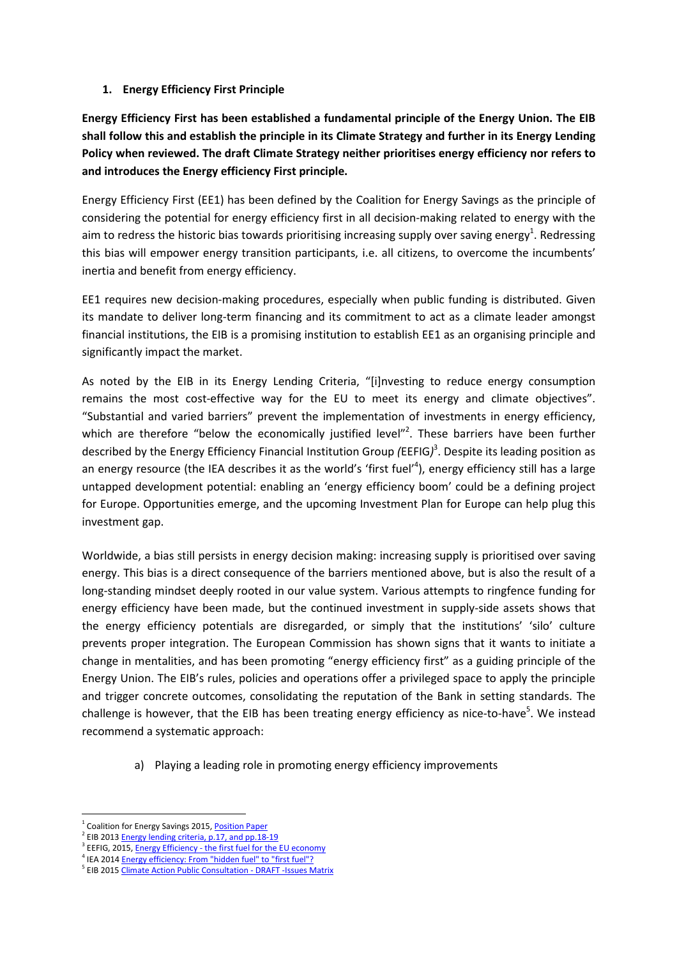## **1. Energy Efficiency First Principle**

**Energy Efficiency First has been established a fundamental principle of the Energy Union. The EIB shall follow this and establish the principle in its Climate Strategy and further in its Energy Lending Policy when reviewed. The draft Climate Strategy neither prioritises energy efficiency nor refers to and introduces the Energy efficiency First principle.** 

Energy Efficiency First (EE1) has been defined by the Coalition for Energy Savings as the principle of considering the potential for energy efficiency first in all decision-making related to energy with the aim to redress the historic bias towards prioritising increasing supply over saving energy<sup>1</sup>. Redressing this bias will empower energy transition participants, i.e. all citizens, to overcome the incumbents' inertia and benefit from energy efficiency.

EE1 requires new decision-making procedures, especially when public funding is distributed. Given its mandate to deliver long-term financing and its commitment to act as a climate leader amongst financial institutions, the EIB is a promising institution to establish EE1 as an organising principle and significantly impact the market.

As noted by the EIB in its Energy Lending Criteria, "[i]nvesting to reduce energy consumption remains the most cost-effective way for the EU to meet its energy and climate objectives". "Substantial and varied barriers" prevent the implementation of investments in energy efficiency, which are therefore "below the economically justified level"<sup>2</sup>. These barriers have been further described by the Energy Efficiency Financial Institution Group *(*EEFIG*)* 3 . Despite its leading position as an energy resource (the IEA describes it as the world's 'first fuel'<sup>4</sup>), energy efficiency still has a large untapped development potential: enabling an 'energy efficiency boom' could be a defining project for Europe. Opportunities emerge, and the upcoming Investment Plan for Europe can help plug this investment gap.

Worldwide, a bias still persists in energy decision making: increasing supply is prioritised over saving energy. This bias is a direct consequence of the barriers mentioned above, but is also the result of a long-standing mindset deeply rooted in our value system. Various attempts to ringfence funding for energy efficiency have been made, but the continued investment in supply-side assets shows that the energy efficiency potentials are disregarded, or simply that the institutions' 'silo' culture prevents proper integration. The European Commission has shown signs that it wants to initiate a change in mentalities, and has been promoting "energy efficiency first" as a guiding principle of the Energy Union. The EIB's rules, policies and operations offer a privileged space to apply the principle and trigger concrete outcomes, consolidating the reputation of the Bank in setting standards. The challenge is however, that the EIB has been treating energy efficiency as nice-to-have<sup>5</sup>. We instead recommend a systematic approach:

a) Playing a leading role in promoting energy efficiency improvements

 $\overline{\phantom{0}}$ 

<sup>&</sup>lt;sup>1</sup> Coalition for Energy Savings 2015, Position Paper

<sup>&</sup>lt;sup>2</sup> EIB 2013 **Energy lending criteria, p.17, and pp.18-19** 

<sup>&</sup>lt;sup>3</sup> EEFIG, 2015, Energy Efficiency - the first fuel for the EU economy

<sup>&</sup>lt;sup>4</sup> IEA 2014 **Energy efficiency: From "hidden fuel" to "first fuel"?** 

<sup>&</sup>lt;sup>5</sup> EIB 2015 Climate Action Public Consultation - DRAFT -Issues Matrix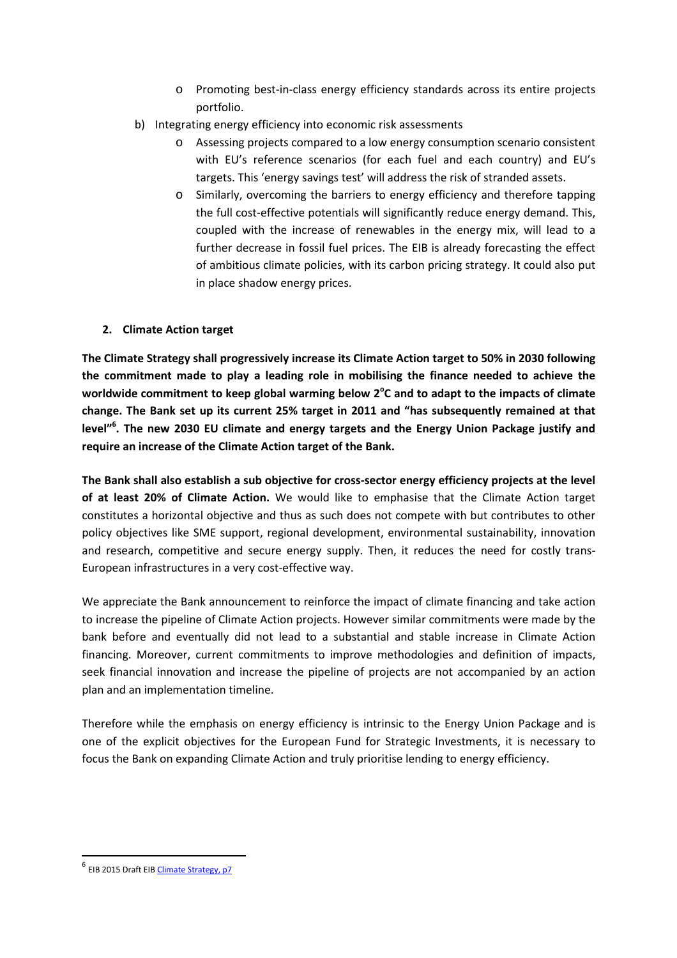- o Promoting best-in-class energy efficiency standards across its entire projects portfolio.
- b) Integrating energy efficiency into economic risk assessments
	- o Assessing projects compared to a low energy consumption scenario consistent with EU's reference scenarios (for each fuel and each country) and EU's targets. This 'energy savings test' will address the risk of stranded assets.
	- o Similarly, overcoming the barriers to energy efficiency and therefore tapping the full cost-effective potentials will significantly reduce energy demand. This, coupled with the increase of renewables in the energy mix, will lead to a further decrease in fossil fuel prices. The EIB is already forecasting the effect of ambitious climate policies, with its carbon pricing strategy. It could also put in place shadow energy prices.

## **2. Climate Action target**

**The Climate Strategy shall progressively increase its Climate Action target to 50% in 2030 following the commitment made to play a leading role in mobilising the finance needed to achieve the**  worldwide commitment to keep global warming below 2<sup>o</sup>C and to adapt to the impacts of climate **change. The Bank set up its current 25% target in 2011 and "has subsequently remained at that level"<sup>6</sup> . The new 2030 EU climate and energy targets and the Energy Union Package justify and require an increase of the Climate Action target of the Bank.** 

**The Bank shall also establish a sub objective for cross-sector energy efficiency projects at the level of at least 20% of Climate Action.** We would like to emphasise that the Climate Action target constitutes a horizontal objective and thus as such does not compete with but contributes to other policy objectives like SME support, regional development, environmental sustainability, innovation and research, competitive and secure energy supply. Then, it reduces the need for costly trans-European infrastructures in a very cost-effective way.

We appreciate the Bank announcement to reinforce the impact of climate financing and take action to increase the pipeline of Climate Action projects. However similar commitments were made by the bank before and eventually did not lead to a substantial and stable increase in Climate Action financing. Moreover, current commitments to improve methodologies and definition of impacts, seek financial innovation and increase the pipeline of projects are not accompanied by an action plan and an implementation timeline.

Therefore while the emphasis on energy efficiency is intrinsic to the Energy Union Package and is one of the explicit objectives for the European Fund for Strategic Investments, it is necessary to focus the Bank on expanding Climate Action and truly prioritise lending to energy efficiency.

 $\overline{a}$ 

<sup>&</sup>lt;sup>6</sup> EIB 2015 Draft EIB Climate Strategy, p7